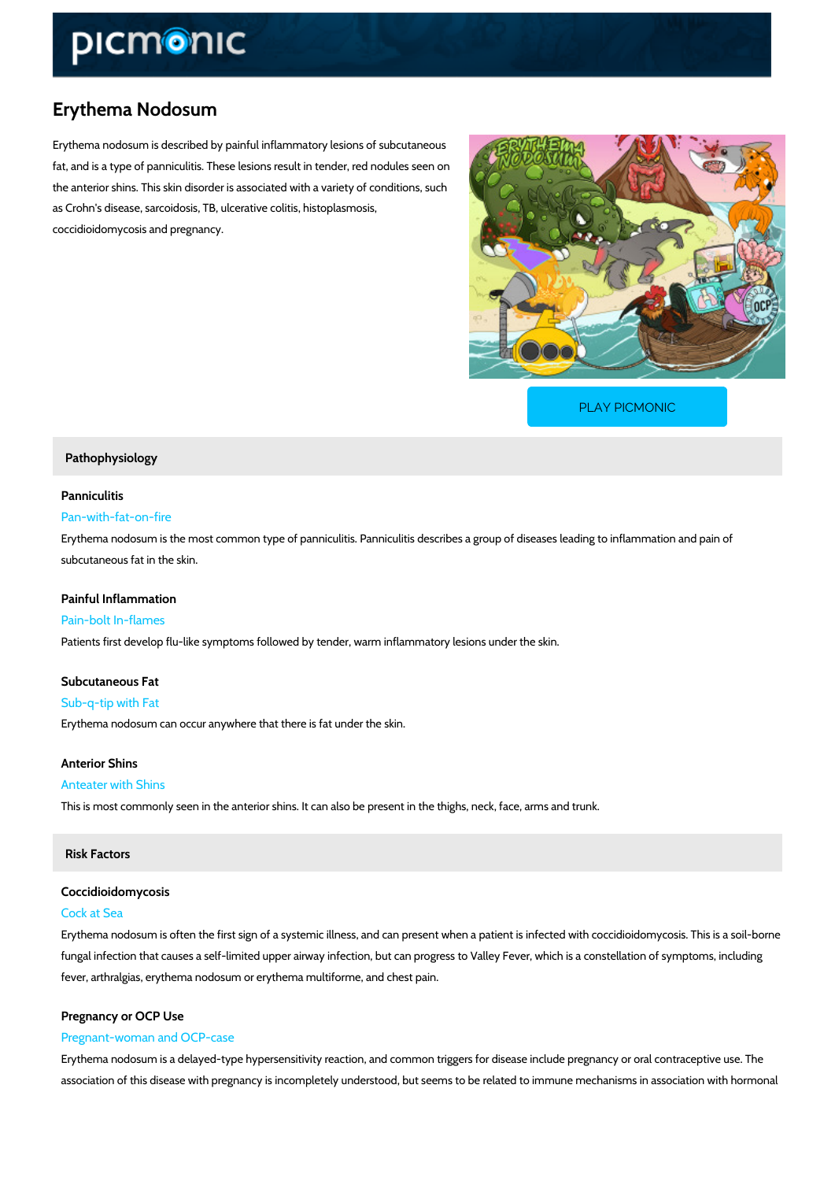# Erythema Nodosum

Erythema nodosum is described by painful inflammatory lesions of subcutaneous fat, and is a type of panniculitis. These lesions result in tender, red nodules seen on the anterior shins. This skin disorder is associated with a variety of conditions, such as Crohn's disease, sarcoidosis, TB, ulcerative colitis, histoplasmosis, coccidioidomycosis and pregnancy.

[PLAY PICMONIC](https://www.picmonic.com/learn/erythema-nodosum_5054?utm_source=downloadable_content&utm_medium=distributedcontent&utm_campaign=pathways_pdf&utm_content=Erythema Nodosum&utm_ad_group=leads&utm_market=all)

### Pathophysiology

# Panniculitis

# Pan-with-fat-on-fire

Erythema nodosum is the most common type of panniculitis. Panniculitis describes a group of subcutaneous fat in the skin.

Painful Inflammation Pain-bolt In-flames Patients first develop flu-like symptoms followed by tender, warm inflammatory lesions under

Subcutaneous Fat Sub-q-tip with Fat Erythema nodosum can occur anywhere that there is fat under the skin.

Anterior Shins

### Anteater with Shins

This is most commonly seen in the anterior shins. It can also be present in the thighs, neck, face, arms and trunk

# Risk Factors

# Coccidioidomycosis

## Cock at Sea

Erythema nodosum is often the first sign of a systemic illness, and can present when a patien fungal infection that causes a self-limited upper airway infection, but can progress to Valley fever, arthralgias, erythema nodosum or erythema multiforme, and chest pain.

### Pregnancy or OCP Use

### Pregnant-woman and OCP-case

Erythema nodosum is a delayed-type hypersensitivity reaction, and common triggers for diseas association of this disease with pregnancy is incompletely understood, but seems to be relate